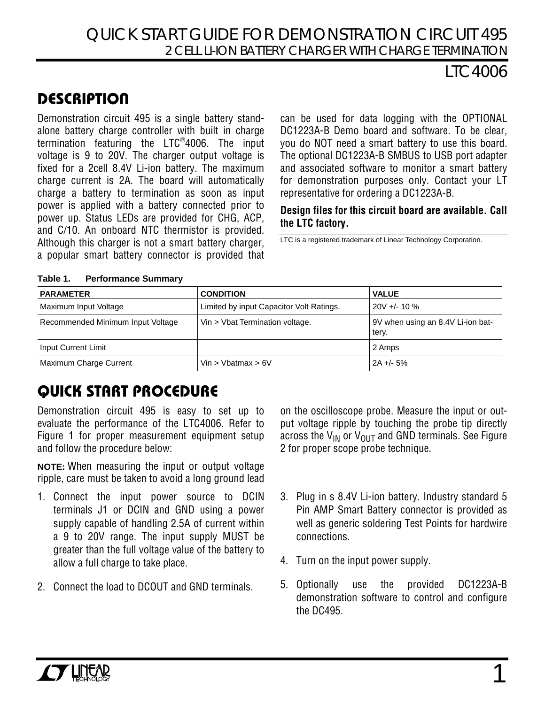## QUICK START GUIDE FOR DEMONSTRATION CIRCUIT 495 2 CELL LI-ION BATTERY CHARGER WITH CHARGE TERMINATION

## LTC4006

# **DESCRIPTION**

Demonstration circuit 495 is a single battery standalone battery charge controller with built in charge termination featuring the LTC®4006. The input voltage is 9 to 20V. The charger output voltage is fixed for a 2cell 8.4V Li-ion battery. The maximum charge current is 2A. The board will automatically charge a battery to termination as soon as input power is applied with a battery connected prior to power up. Status LEDs are provided for CHG, ACP, and C/10. An onboard NTC thermistor is provided. Although this charger is not a smart battery charger, a popular smart battery connector is provided that

can be used for data logging with the OPTIONAL DC1223A-B Demo board and software. To be clear, you do NOT need a smart battery to use this board. The optional DC1223A-B SMBUS to USB port adapter and associated software to monitor a smart battery for demonstration purposes only. Contact your LT representative for ordering a DC1223A-B.

### **Design files for this circuit board are available. Call the LTC factory.**

LTC is a registered trademark of Linear Technology Corporation.

| <b>PARAMETER</b>                  | <b>CONDITION</b>                         | <b>VALUE</b>                               |
|-----------------------------------|------------------------------------------|--------------------------------------------|
| Maximum Input Voltage             | Limited by input Capacitor Volt Ratings. | $20V + 10\%$                               |
| Recommended Minimum Input Voltage | Vin > Vbat Termination voltage.          | 9V when using an 8.4V Li-ion bat-<br>tery. |
| Input Current Limit               |                                          | 2 Amps                                     |
| Maximum Charge Current            | Vin > Vbatmax > $6V$                     | $2A + -5\%$                                |

#### **Table 1. Performance Summary**

# QUICK START PROCEDURE

Demonstration circuit 495 is easy to set up to evaluate the performance of the LTC4006. Refer to Figure 1 for proper measurement equipment setup and follow the procedure below:

**NOTE:** When measuring the input or output voltage ripple, care must be taken to avoid a long ground lead

- 1. Connect the input power source to DCIN terminals J1 or DCIN and GND using a power supply capable of handling 2.5A of current within a 9 to 20V range. The input supply MUST be greater than the full voltage value of the battery to allow a full charge to take place.
- 2. Connect the load to DCOUT and GND terminals.

on the oscilloscope probe. Measure the input or output voltage ripple by touching the probe tip directly across the  $V_{IN}$  or  $V_{OUIT}$  and GND terminals. See Figure 2 for proper scope probe technique.

- 3. Plug in s 8.4V Li-ion battery. Industry standard 5 Pin AMP Smart Battery connector is provided as well as generic soldering Test Points for hardwire connections.
- 4. Turn on the input power supply.
- 5. Optionally use the provided DC1223A-B demonstration software to control and configure the DC495.

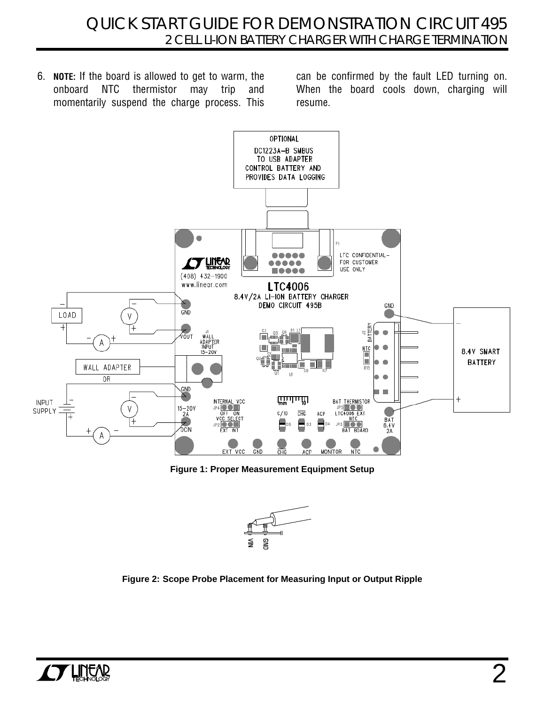6. **NOTE:** If the board is allowed to get to warm, the onboard NTC thermistor may trip and momentarily suspend the charge process. This

can be confirmed by the fault LED turning on. When the board cools down, charging will resume.



**Figure 1: Proper Measurement Equipment Setup** 



**Figure 2: Scope Probe Placement for Measuring Input or Output Ripple**